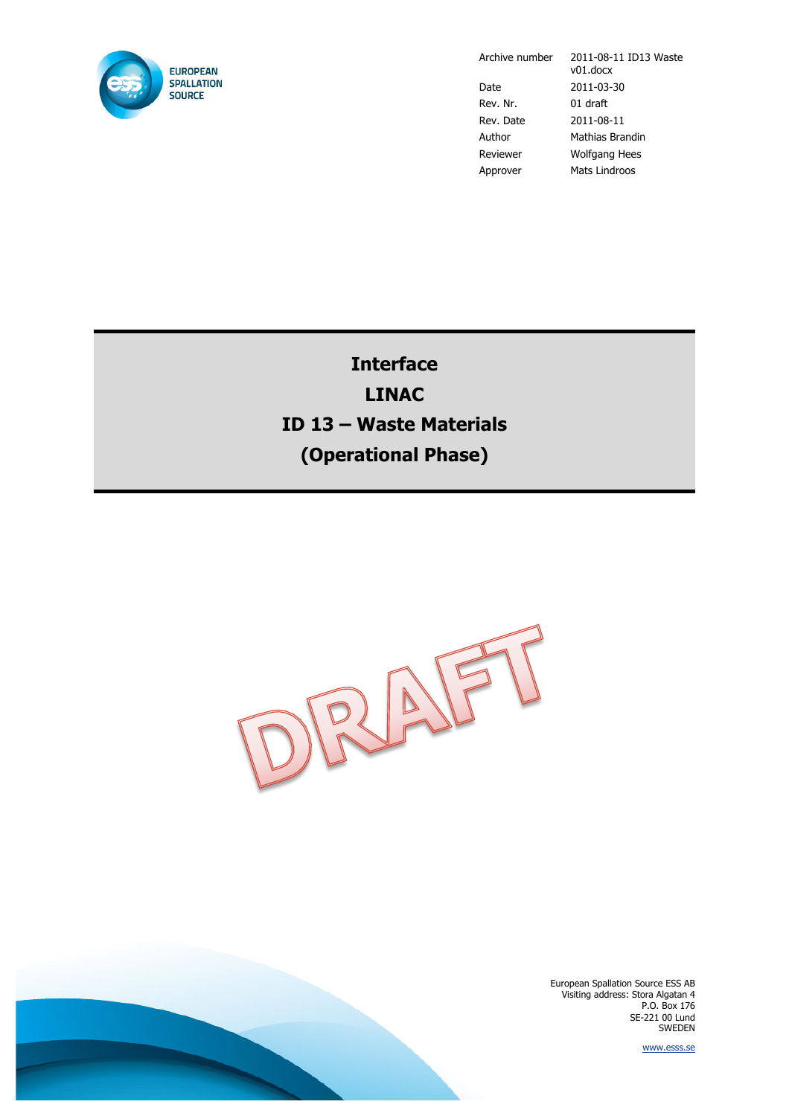

Archive number 2011-08-11 ID13 Waste v01.docx Date 2011-03-30 Rev. Nr. 01 draft Rev. Date 2011-08-11 Author Mathias Brandin Reviewer Wolfgang Hees Approver Mats Lindroos

## **Interface LINAC ID 13 – Waste Materials (Operational Phase)**



European Spallation Source ESS AB Visiting address: Stora Algatan 4 P.O. Box 176 SE-221 00 Lund SWEDEN

www.esss.se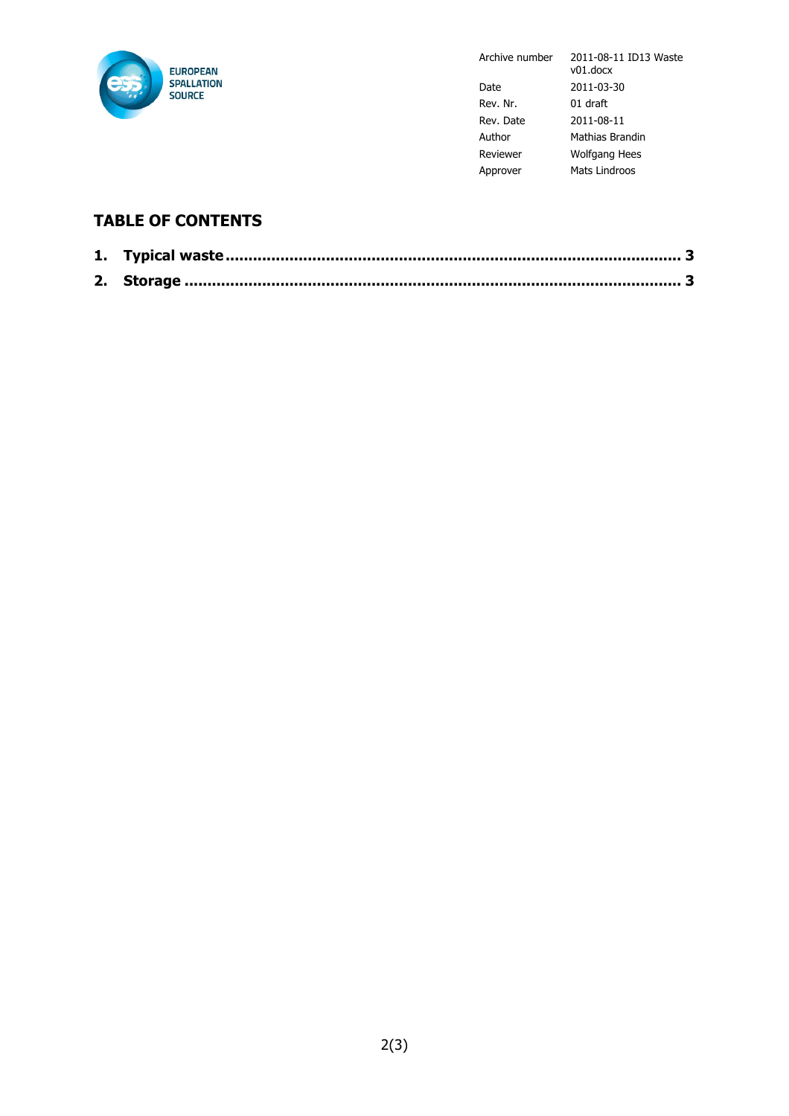

Archive number 2011-08-11 ID13 Waste v01.docx Date 2011-03-30 Rev. Nr. 01 draft Rev. Date 2011-08-11 Author Mathias Brandin Reviewer Wolfgang Hees Approver Mats Lindroos

## **TABLE OF CONTENTS**